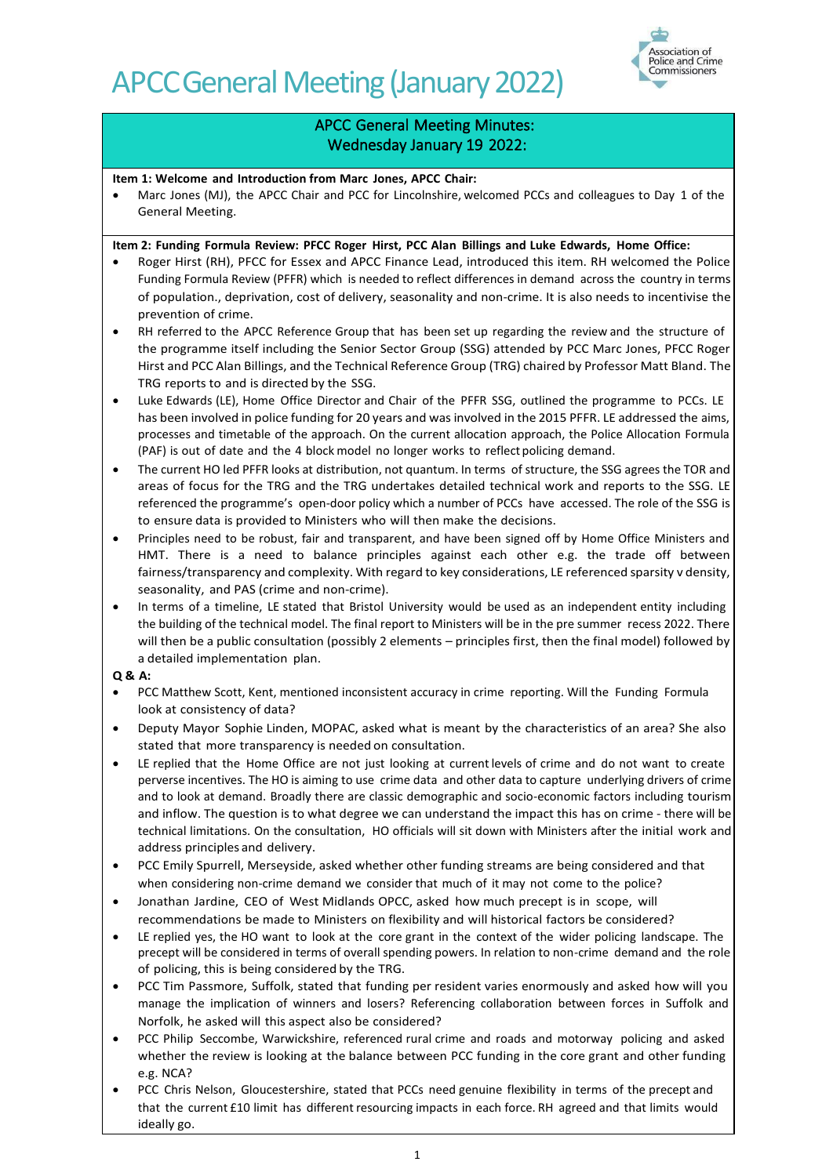

# APCC General Meeting Minutes: Wednesday January 19 2022:

**Item 1: Welcome and Introduction from Marc Jones, APCC Chair:**

Marc Jones (MJ), the APCC Chair and PCC for Lincolnshire, welcomed PCCs and colleagues to Day 1 of the General Meeting.

# **Item 2: Funding Formula Review: PFCC Roger Hirst, PCC Alan Billings and Luke Edwards, Home Office:**

- Roger Hirst (RH), PFCC for Essex and APCC Finance Lead, introduced this item. RH welcomed the Police Funding Formula Review (PFFR) which is needed to reflect differences in demand across the country in terms of population., deprivation, cost of delivery, seasonality and non-crime. It is also needs to incentivise the prevention of crime.
- RH referred to the APCC Reference Group that has been set up regarding the review and the structure of the programme itself including the Senior Sector Group (SSG) attended by PCC Marc Jones, PFCC Roger Hirst and PCC Alan Billings, and the Technical Reference Group (TRG) chaired by Professor Matt Bland. The TRG reports to and is directed by the SSG.
- Luke Edwards (LE), Home Office Director and Chair of the PFFR SSG, outlined the programme to PCCs. LE has been involved in police funding for 20 years and was involved in the 2015 PFFR. LE addressed the aims, processes and timetable of the approach. On the current allocation approach, the Police Allocation Formula (PAF) is out of date and the 4 block model no longer works to reflect policing demand.
- The current HO led PFFR looks at distribution, not quantum. In terms of structure, the SSG agrees the TOR and areas of focus for the TRG and the TRG undertakes detailed technical work and reports to the SSG. LE referenced the programme's open-door policy which a number of PCCs have accessed. The role of the SSG is to ensure data is provided to Ministers who will then make the decisions.
- Principles need to be robust, fair and transparent, and have been signed off by Home Office Ministers and HMT. There is a need to balance principles against each other e.g. the trade off between fairness/transparency and complexity. With regard to key considerations, LE referenced sparsity v density, seasonality, and PAS (crime and non-crime).
- In terms of a timeline, LE stated that Bristol University would be used as an independent entity including the building of the technical model. The final report to Ministers will be in the pre summer recess 2022. There will then be a public consultation (possibly 2 elements – principles first, then the final model) followed by a detailed implementation plan.

- PCC Matthew Scott, Kent, mentioned inconsistent accuracy in crime reporting. Will the Funding Formula look at consistency of data?
- Deputy Mayor Sophie Linden, MOPAC, asked what is meant by the characteristics of an area? She also stated that more transparency is needed on consultation.
- LE replied that the Home Office are not just looking at current levels of crime and do not want to create perverse incentives. The HO is aiming to use crime data and other data to capture underlying drivers of crime and to look at demand. Broadly there are classic demographic and socio-economic factors including tourism and inflow. The question is to what degree we can understand the impact this has on crime - there will be technical limitations. On the consultation, HO officials will sit down with Ministers after the initial work and address principles and delivery.
- PCC Emily Spurrell, Merseyside, asked whether other funding streams are being considered and that when considering non-crime demand we consider that much of it may not come to the police?
- Jonathan Jardine, CEO of West Midlands OPCC, asked how much precept is in scope, will recommendations be made to Ministers on flexibility and will historical factors be considered?
- LE replied yes, the HO want to look at the core grant in the context of the wider policing landscape. The precept will be considered in terms of overall spending powers. In relation to non-crime demand and the role of policing, this is being considered by the TRG.
- PCC Tim Passmore, Suffolk, stated that funding per resident varies enormously and asked how will you manage the implication of winners and losers? Referencing collaboration between forces in Suffolk and Norfolk, he asked will this aspect also be considered?
- PCC Philip Seccombe, Warwickshire, referenced rural crime and roads and motorway policing and asked whether the review is looking at the balance between PCC funding in the core grant and other funding e.g. NCA?
- PCC Chris Nelson, Gloucestershire, stated that PCCs need genuine flexibility in terms of the precept and that the current £10 limit has different resourcing impacts in each force. RH agreed and that limits would ideally go.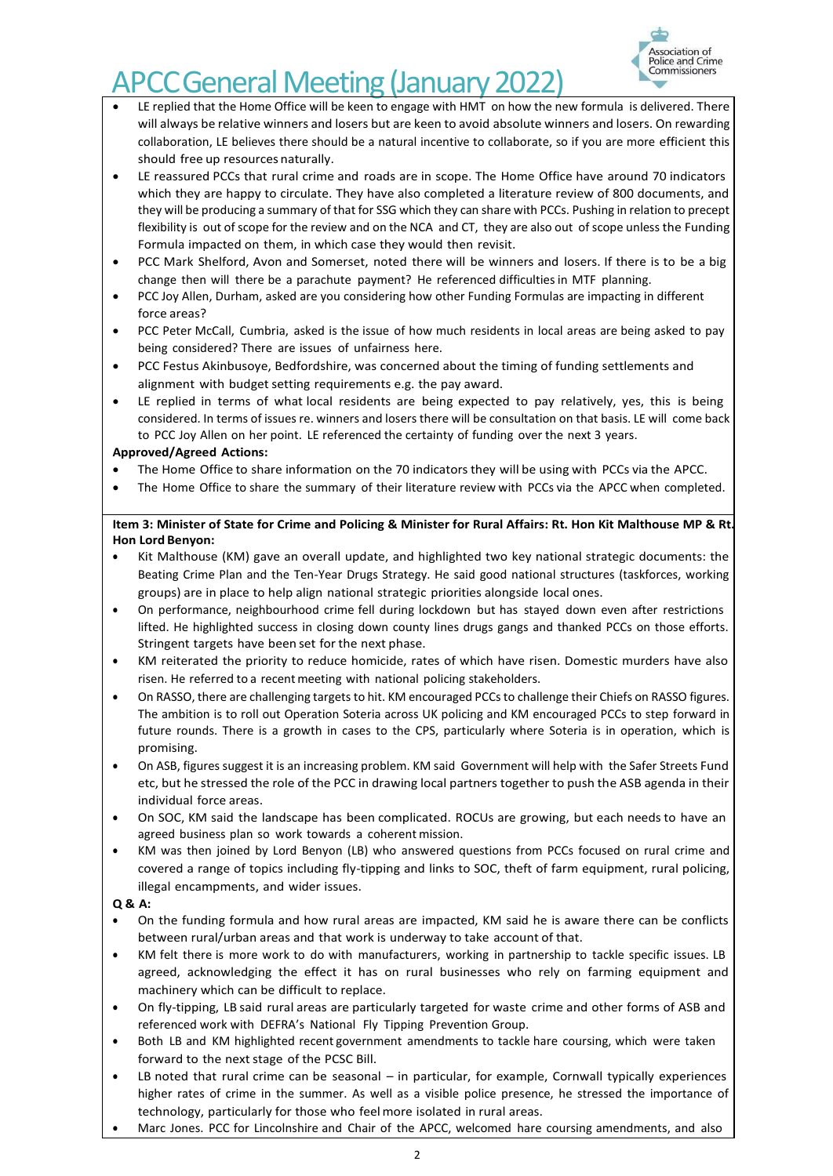

- LE replied that the Home Office will be keen to engage with HMT on how the new formula is delivered. There will always be relative winners and losers but are keen to avoid absolute winners and losers. On rewarding collaboration, LE believes there should be a natural incentive to collaborate, so if you are more efficient this should free up resources naturally.
- LE reassured PCCs that rural crime and roads are in scope. The Home Office have around 70 indicators which they are happy to circulate. They have also completed a literature review of 800 documents, and they will be producing a summary of that for SSG which they can share with PCCs. Pushing in relation to precept flexibility is out of scope for the review and on the NCA and CT, they are also out of scope unless the Funding Formula impacted on them, in which case they would then revisit.
- PCC Mark Shelford, Avon and Somerset, noted there will be winners and losers. If there is to be a big change then will there be a parachute payment? He referenced difficulties in MTF planning.
- PCC Joy Allen, Durham, asked are you considering how other Funding Formulas are impacting in different force areas?
- PCC Peter McCall, Cumbria, asked is the issue of how much residents in local areas are being asked to pay being considered? There are issues of unfairness here.
- PCC Festus Akinbusoye, Bedfordshire, was concerned about the timing of funding settlements and alignment with budget setting requirements e.g. the pay award.
- LE replied in terms of what local residents are being expected to pay relatively, yes, this is being considered. In terms of issues re. winners and losers there will be consultation on that basis. LE will come back to PCC Joy Allen on her point. LE referenced the certainty of funding over the next 3 years.

# **Approved/Agreed Actions:**

- The Home Office to share information on the 70 indicators they will be using with PCCs via the APCC.
- The Home Office to share the summary of their literature review with PCCs via the APCC when completed.

## **Item 3: Minister of State for Crime and Policing & Minister for Rural Affairs: Rt. Hon Kit Malthouse MP & Rt. Hon Lord Benyon:**

- Kit Malthouse (KM) gave an overall update, and highlighted two key national strategic documents: the Beating Crime Plan and the Ten-Year Drugs Strategy. He said good national structures (taskforces, working groups) are in place to help align national strategic priorities alongside local ones.
- On performance, neighbourhood crime fell during lockdown but has stayed down even after restrictions lifted. He highlighted success in closing down county lines drugs gangs and thanked PCCs on those efforts. Stringent targets have been set for the next phase.
- KM reiterated the priority to reduce homicide, rates of which have risen. Domestic murders have also risen. He referred to a recent meeting with national policing stakeholders.
- On RASSO, there are challenging targets to hit. KM encouraged PCCs to challenge their Chiefs on RASSO figures. The ambition is to roll out Operation Soteria across UK policing and KM encouraged PCCs to step forward in future rounds. There is a growth in cases to the CPS, particularly where Soteria is in operation, which is promising.
- On ASB, figures suggest it is an increasing problem. KM said Government will help with the Safer Streets Fund etc, but he stressed the role of the PCC in drawing local partners together to push the ASB agenda in their individual force areas.
- On SOC, KM said the landscape has been complicated. ROCUs are growing, but each needs to have an agreed business plan so work towards a coherent mission.
- KM was then joined by Lord Benyon (LB) who answered questions from PCCs focused on rural crime and covered a range of topics including fly-tipping and links to SOC, theft of farm equipment, rural policing, illegal encampments, and wider issues.

- On the funding formula and how rural areas are impacted, KM said he is aware there can be conflicts between rural/urban areas and that work is underway to take account of that.
- KM felt there is more work to do with manufacturers, working in partnership to tackle specific issues. LB agreed, acknowledging the effect it has on rural businesses who rely on farming equipment and machinery which can be difficult to replace.
- On fly-tipping, LB said rural areas are particularly targeted for waste crime and other forms of ASB and referenced work with DEFRA's National Fly Tipping Prevention Group.
- Both LB and KM highlighted recent government amendments to tackle hare coursing, which were taken forward to the next stage of the PCSC Bill.
- LB noted that rural crime can be seasonal in particular, for example, Cornwall typically experiences higher rates of crime in the summer. As well as a visible police presence, he stressed the importance of technology, particularly for those who feelmore isolated in rural areas.
- Marc Jones. PCC for Lincolnshire and Chair of the APCC, welcomed hare coursing amendments, and also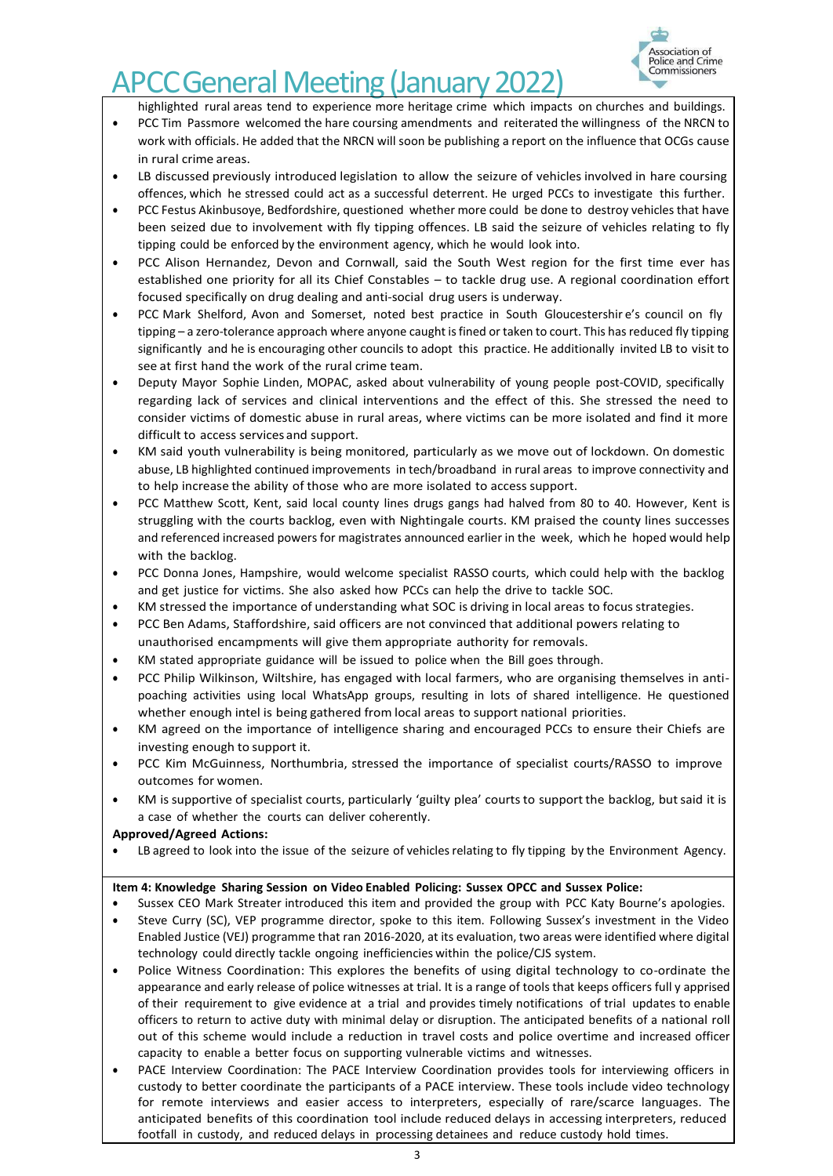

highlighted rural areas tend to experience more heritage crime which impacts on churches and buildings.

- PCC Tim Passmore welcomed the hare coursing amendments and reiterated the willingness of the NRCN to work with officials. He added that the NRCN will soon be publishing a report on the influence that OCGs cause in rural crime areas.
- LB discussed previously introduced legislation to allow the seizure of vehicles involved in hare coursing offences, which he stressed could act as a successful deterrent. He urged PCCs to investigate this further.
- PCC Festus Akinbusoye, Bedfordshire, questioned whether more could be done to destroy vehicles that have been seized due to involvement with fly tipping offences. LB said the seizure of vehicles relating to fly tipping could be enforced by the environment agency, which he would look into.
- PCC Alison Hernandez, Devon and Cornwall, said the South West region for the first time ever has established one priority for all its Chief Constables – to tackle drug use. A regional coordination effort focused specifically on drug dealing and anti-social drug users is underway.
- PCC Mark Shelford, Avon and Somerset, noted best practice in South Gloucestershir e's council on fly tipping – a zero-tolerance approach where anyone caught is fined or taken to court. This has reduced fly tipping significantly and he is encouraging other councils to adopt this practice. He additionally invited LB to visit to see at first hand the work of the rural crime team.
- Deputy Mayor Sophie Linden, MOPAC, asked about vulnerability of young people post-COVID, specifically regarding lack of services and clinical interventions and the effect of this. She stressed the need to consider victims of domestic abuse in rural areas, where victims can be more isolated and find it more difficult to access services and support.
- KM said youth vulnerability is being monitored, particularly as we move out of lockdown. On domestic abuse, LB highlighted continued improvements in tech/broadband in rural areas to improve connectivity and to help increase the ability of those who are more isolated to access support.
- PCC Matthew Scott, Kent, said local county lines drugs gangs had halved from 80 to 40. However, Kent is struggling with the courts backlog, even with Nightingale courts. KM praised the county lines successes and referenced increased powers for magistrates announced earlier in the week, which he hoped would help with the backlog.
- PCC Donna Jones, Hampshire, would welcome specialist RASSO courts, which could help with the backlog and get justice for victims. She also asked how PCCs can help the drive to tackle SOC.
- KM stressed the importance of understanding what SOC is driving in local areas to focus strategies.
- PCC Ben Adams, Staffordshire, said officers are not convinced that additional powers relating to unauthorised encampments will give them appropriate authority for removals.
- KM stated appropriate guidance will be issued to police when the Bill goes through.
- PCC Philip Wilkinson, Wiltshire, has engaged with local farmers, who are organising themselves in antipoaching activities using local WhatsApp groups, resulting in lots of shared intelligence. He questioned whether enough intel is being gathered from local areas to support national priorities.
- KM agreed on the importance of intelligence sharing and encouraged PCCs to ensure their Chiefs are investing enough to support it.
- PCC Kim McGuinness, Northumbria, stressed the importance of specialist courts/RASSO to improve outcomes for women.
- KM is supportive of specialist courts, particularly 'guilty plea' courts to support the backlog, but said it is a case of whether the courts can deliver coherently.
- **Approved/Agreed Actions:**
- LB agreed to look into the issue of the seizure of vehicles relating to fly tipping by the Environment Agency.

## **Item 4: Knowledge Sharing Session on Video Enabled Policing: Sussex OPCC and Sussex Police:**

- Sussex CEO Mark Streater introduced this item and provided the group with PCC Katy Bourne's apologies.
- Steve Curry (SC), VEP programme director, spoke to this item. Following Sussex's investment in the Video Enabled Justice (VEJ) programme that ran 2016-2020, at its evaluation, two areas were identified where digital technology could directly tackle ongoing inefficiencies within the police/CJS system.
- Police Witness Coordination: This explores the benefits of using digital technology to co-ordinate the appearance and early release of police witnesses at trial. It is a range of tools that keeps officers full y apprised of their requirement to give evidence at a trial and provides timely notifications of trial updates to enable officers to return to active duty with minimal delay or disruption. The anticipated benefits of a national roll out of this scheme would include a reduction in travel costs and police overtime and increased officer capacity to enable a better focus on supporting vulnerable victims and witnesses.
- PACE Interview Coordination: The PACE Interview Coordination provides tools for interviewing officers in custody to better coordinate the participants of a PACE interview. These tools include video technology for remote interviews and easier access to interpreters, especially of rare/scarce languages. The anticipated benefits of this coordination tool include reduced delays in accessing interpreters, reduced footfall in custody, and reduced delays in processing detainees and reduce custody hold times.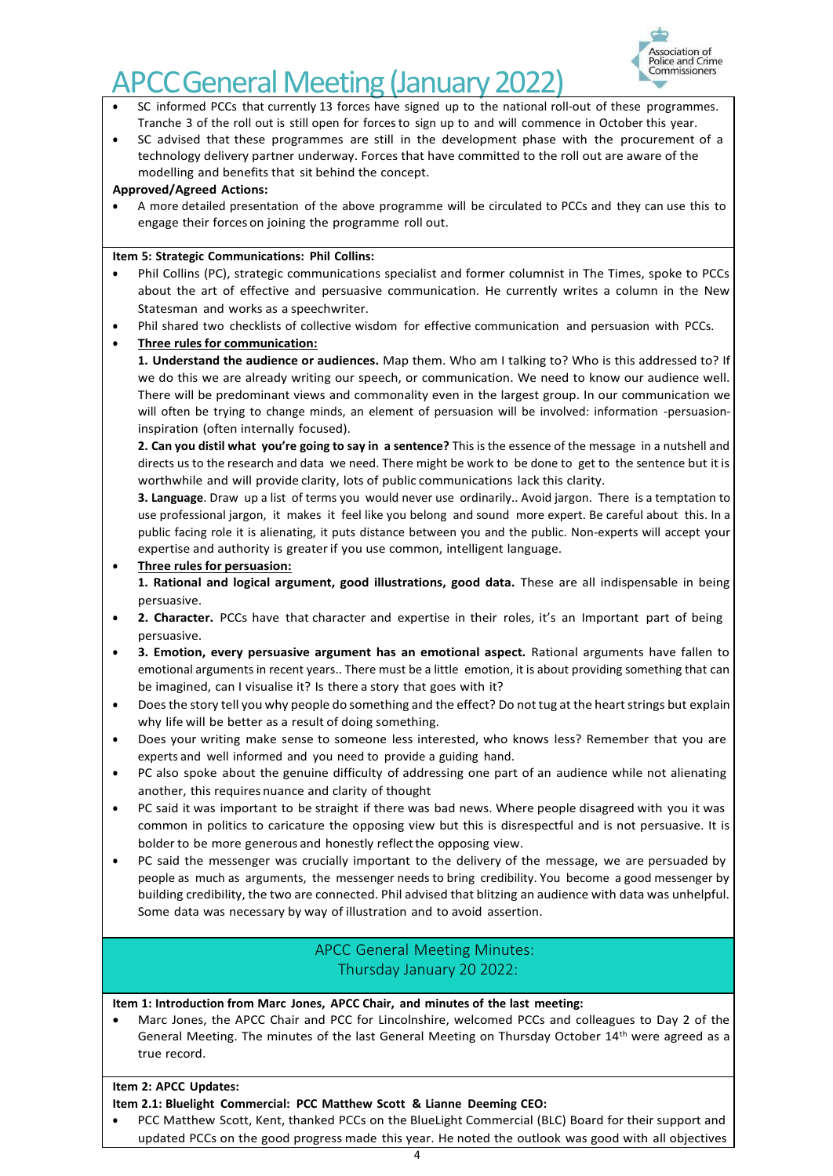# **APCC General Meeting (January 2022)**



- SC informed PCCs that currently 13 forces have signed up to the national roll-out of these programmes. Tranche 3 of the roll out is still open for forcesto sign up to and will commence in October this year.
- SC advised that these programmes are still in the development phase with the procurement of a technology delivery partner underway. Forces that have committed to the roll out are aware of the modelling and benefits that sit behind the concept.

## **Approved/Agreed Actions:**

• A more detailed presentation of the above programme will be circulated to PCCs and they can use this to engage their forces on joining the programme roll out.

## **Item 5: Strategic Communications: Phil Collins:**

- Phil Collins (PC), strategic communications specialist and former columnist in The Times, spoke to PCCs about the art of effective and persuasive communication. He currently writes a column in the New Statesman and works as a speechwriter.
- Phil shared two checklists of collective wisdom for effective communication and persuasion with PCCs.

# **Three rules for communication:**

**1. Understand the audience or audiences.** Map them. Who am I talking to? Who is this addressed to? If we do this we are already writing our speech, or communication. We need to know our audience well. There will be predominant views and commonality even in the largest group. In our communication we will often be trying to change minds, an element of persuasion will be involved: information -persuasioninspiration (often internally focused).

**2. Can you distil what you're going to say in a sentence?** This is the essence of the message in a nutshell and directs us to the research and data we need. There might be work to be done to get to the sentence but it is worthwhile and will provide clarity, lots of public communications lack this clarity.

**3. Language**. Draw up a list of terms you would never use ordinarily.. Avoid jargon. There is a temptation to use professional jargon, it makes it feel like you belong and sound more expert. Be careful about this. In a public facing role it is alienating, it puts distance between you and the public. Non-experts will accept your expertise and authority is greaterif you use common, intelligent language.

• **Three rulesfor persuasion:**

**1. Rational and logical argument, good illustrations, good data.** These are all indispensable in being persuasive.

- **2. Character.** PCCs have that character and expertise in their roles, it's an Important part of being persuasive.
- **3. Emotion, every persuasive argument has an emotional aspect.** Rational arguments have fallen to emotional arguments in recent years.. There must be a little emotion, it is about providing something that can be imagined, can I visualise it? Is there a story that goes with it?
- Does the story tell you why people do something and the effect? Do not tug at the heart strings but explain why life will be better as a result of doing something.
- Does your writing make sense to someone less interested, who knows less? Remember that you are experts and well informed and you need to provide a guiding hand.
- PC also spoke about the genuine difficulty of addressing one part of an audience while not alienating another, this requires nuance and clarity of thought
- PC said it was important to be straight if there was bad news. Where people disagreed with you it was common in politics to caricature the opposing view but this is disrespectful and is not persuasive. It is bolder to be more generous and honestly reflect the opposing view.
- PC said the messenger was crucially important to the delivery of the message, we are persuaded by people as much as arguments, the messenger needs to bring credibility. You become a good messenger by building credibility, the two are connected. Phil advised that blitzing an audience with data was unhelpful. Some data was necessary by way of illustration and to avoid assertion.

# APCC General Meeting Minutes: Thursday January 20 2022:

# **Item 1: Introduction from Marc Jones, APCC Chair, and minutes of the last meeting:**

• Marc Jones, the APCC Chair and PCC for Lincolnshire, welcomed PCCs and colleagues to Day 2 of the General Meeting. The minutes of the last General Meeting on Thursday October 14th were agreed as a true record.

# **Item 2: APCC Updates:**

# **Item 2.1: Bluelight Commercial: PCC Matthew Scott & Lianne Deeming CEO:**

• PCC Matthew Scott, Kent, thanked PCCs on the BlueLight Commercial (BLC) Board for their support and updated PCCs on the good progress made this year. He noted the outlook was good with all objectives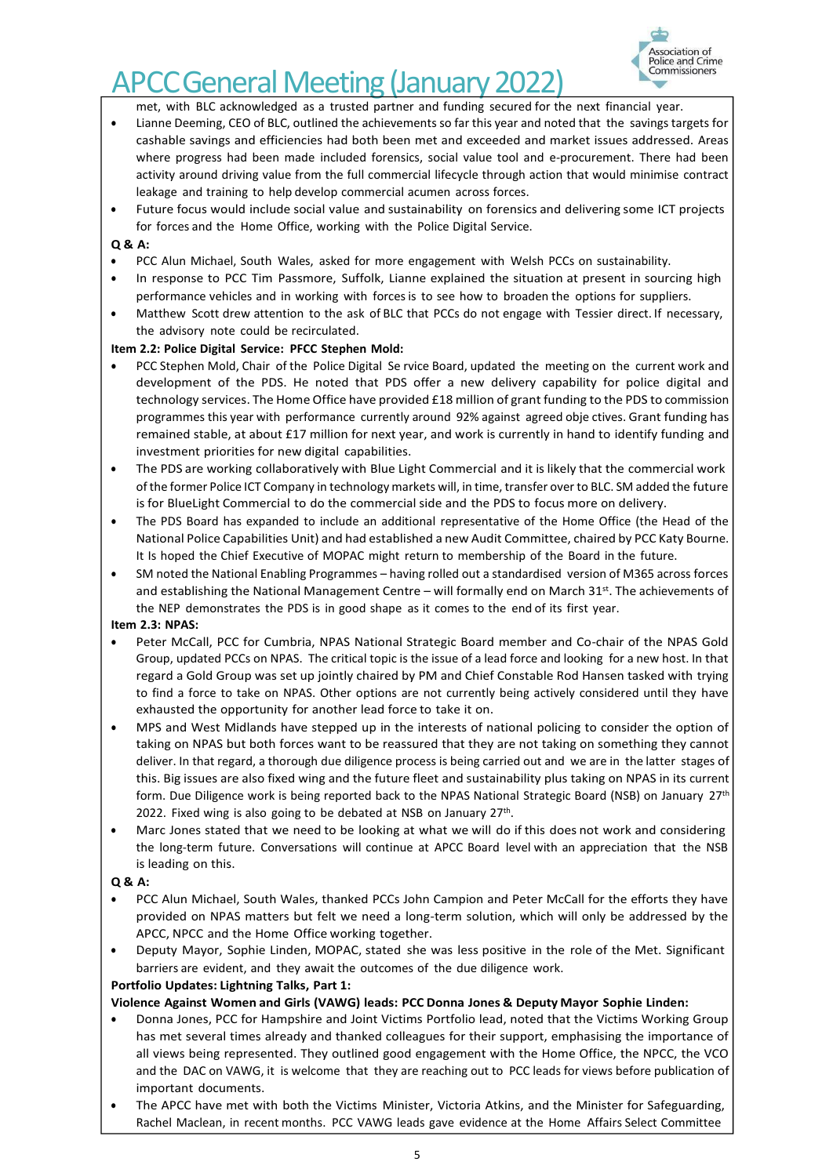

# **CCGeneral Meeting (January 2022**)

met, with BLC acknowledged as a trusted partner and funding secured for the next financial year.

- Lianne Deeming, CEO of BLC, outlined the achievements so far this year and noted that the savings targets for cashable savings and efficiencies had both been met and exceeded and market issues addressed. Areas where progress had been made included forensics, social value tool and e-procurement. There had been activity around driving value from the full commercial lifecycle through action that would minimise contract leakage and training to help develop commercial acumen across forces.
- Future focus would include social value and sustainability on forensics and delivering some ICT projects for forces and the Home Office, working with the Police Digital Service.

## **Q & A:**

- PCC Alun Michael, South Wales, asked for more engagement with Welsh PCCs on sustainability.
- In response to PCC Tim Passmore, Suffolk, Lianne explained the situation at present in sourcing high performance vehicles and in working with forcesis to see how to broaden the options for suppliers.
- Matthew Scott drew attention to the ask of BLC that PCCs do not engage with Tessier direct. If necessary, the advisory note could be recirculated.

## **Item 2.2: Police Digital Service: PFCC Stephen Mold:**

- PCC Stephen Mold, Chair of the Police Digital Se rvice Board, updated the meeting on the current work and development of the PDS. He noted that PDS offer a new delivery capability for police digital and technology services. The Home Office have provided £18 million of grant funding to the PDS to commission programmes this year with performance currently around 92% against agreed obje ctives. Grant funding has remained stable, at about £17 million for next year, and work is currently in hand to identify funding and investment priorities for new digital capabilities.
- The PDS are working collaboratively with Blue Light Commercial and it islikely that the commercial work of the former Police ICT Company in technology markets will, in time, transfer over to BLC. SM added the future is for BlueLight Commercial to do the commercial side and the PDS to focus more on delivery.
- The PDS Board has expanded to include an additional representative of the Home Office (the Head of the National Police Capabilities Unit) and had established a new Audit Committee, chaired by PCC Katy Bourne. It Is hoped the Chief Executive of MOPAC might return to membership of the Board in the future.
- SM noted the National Enabling Programmes having rolled out a standardised version of M365 across forces and establishing the National Management Centre – will formally end on March 31<sup>st</sup>. The achievements of the NEP demonstrates the PDS is in good shape as it comes to the end of its first year.

## **Item 2.3: NPAS:**

- Peter McCall, PCC for Cumbria, NPAS National Strategic Board member and Co-chair of the NPAS Gold Group, updated PCCs on NPAS. The critical topic is the issue of a lead force and looking for a new host. In that regard a Gold Group was set up jointly chaired by PM and Chief Constable Rod Hansen tasked with trying to find a force to take on NPAS. Other options are not currently being actively considered until they have exhausted the opportunity for another lead force to take it on.
- MPS and West Midlands have stepped up in the interests of national policing to consider the option of taking on NPAS but both forces want to be reassured that they are not taking on something they cannot deliver. In that regard, a thorough due diligence process is being carried out and we are in the latter stages of this. Big issues are also fixed wing and the future fleet and sustainability plus taking on NPAS in its current form. Due Diligence work is being reported back to the NPAS National Strategic Board (NSB) on January 27<sup>th</sup> 2022. Fixed wing is also going to be debated at NSB on January 27<sup>th</sup>.
- Marc Jones stated that we need to be looking at what we will do if this does not work and considering the long-term future. Conversations will continue at APCC Board level with an appreciation that the NSB is leading on this.

## **Q & A:**

- PCC Alun Michael, South Wales, thanked PCCs John Campion and Peter McCall for the efforts they have provided on NPAS matters but felt we need a long-term solution, which will only be addressed by the APCC, NPCC and the Home Office working together.
- Deputy Mayor, Sophie Linden, MOPAC, stated she was less positive in the role of the Met. Significant barriers are evident, and they await the outcomes of the due diligence work.

## **Portfolio Updates: Lightning Talks, Part 1:**

## **Violence Against Women and Girls (VAWG) leads: PCC Donna Jones & Deputy Mayor Sophie Linden:**

- Donna Jones, PCC for Hampshire and Joint Victims Portfolio lead, noted that the Victims Working Group has met several times already and thanked colleagues for their support, emphasising the importance of all views being represented. They outlined good engagement with the Home Office, the NPCC, the VCO and the DAC on VAWG, it is welcome that they are reaching out to PCC leads for views before publication of important documents.
- The APCC have met with both the Victims Minister, Victoria Atkins, and the Minister for Safeguarding, Rachel Maclean, in recent months. PCC VAWG leads gave evidence at the Home Affairs Select Committee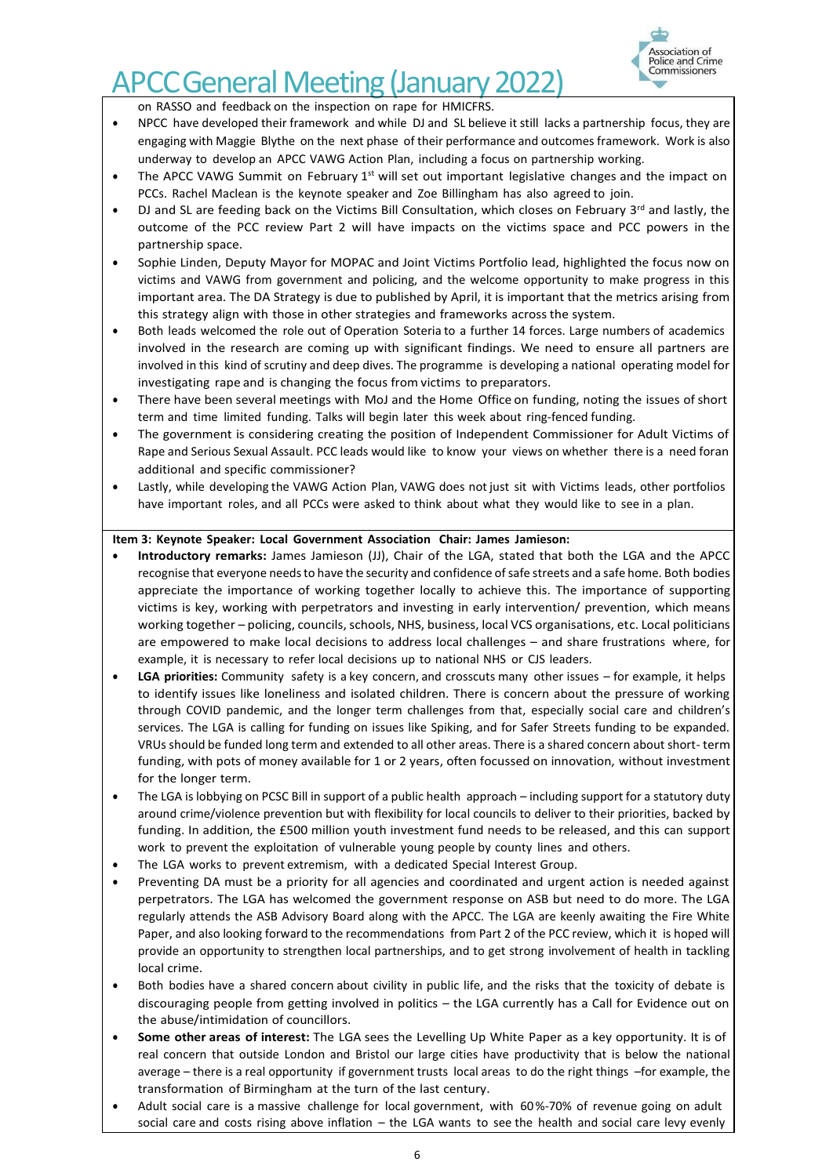

on RASSO and feedback on the inspection on rape for HMICFRS.

- NPCC have developed their framework and while DJ and SL believe it still lacks a partnership focus, they are engaging with Maggie Blythe on the next phase of their performance and outcomes framework. Work is also underway to develop an APCC VAWG Action Plan, including a focus on partnership working.
- The APCC VAWG Summit on February  $1<sup>st</sup>$  will set out important legislative changes and the impact on PCCs. Rachel Maclean is the keynote speaker and Zoe Billingham has also agreed to join.
- DJ and SL are feeding back on the Victims Bill Consultation, which closes on February 3<sup>rd</sup> and lastly, the outcome of the PCC review Part 2 will have impacts on the victims space and PCC powers in the partnership space.
- Sophie Linden, Deputy Mayor for MOPAC and Joint Victims Portfolio lead, highlighted the focus now on victims and VAWG from government and policing, and the welcome opportunity to make progress in this important area. The DA Strategy is due to published by April, it is important that the metrics arising from this strategy align with those in other strategies and frameworks across the system.
- Both leads welcomed the role out of Operation Soteria to a further 14 forces. Large numbers of academics involved in the research are coming up with significant findings. We need to ensure all partners are involved in this kind of scrutiny and deep dives. The programme is developing a national operating model for investigating rape and is changing the focus from victims to preparators.
- There have been several meetings with MoJ and the Home Office on funding, noting the issues of short term and time limited funding. Talks will begin later this week about ring-fenced funding.
- The government is considering creating the position of Independent Commissioner for Adult Victims of Rape and Serious Sexual Assault. PCC leads would like to know your views on whether there is a need foran additional and specific commissioner?
- Lastly, while developing the VAWG Action Plan, VAWG does not just sit with Victims leads, other portfolios have important roles, and all PCCs were asked to think about what they would like to see in a plan.

#### **Item 3: Keynote Speaker: Local Government Association Chair: James Jamieson:**

- **Introductory remarks:** James Jamieson (JJ), Chair of the LGA, stated that both the LGA and the APCC recognise that everyone needs to have the security and confidence of safe streets and a safe home. Both bodies appreciate the importance of working together locally to achieve this. The importance of supporting victims is key, working with perpetrators and investing in early intervention/ prevention, which means working together – policing, councils, schools, NHS, business, local VCS organisations, etc. Local politicians are empowered to make local decisions to address local challenges – and share frustrations where, for example, it is necessary to refer local decisions up to national NHS or CJS leaders.
- **LGA priorities:** Community safety is a key concern, and crosscuts many other issues for example, it helps to identify issues like loneliness and isolated children. There is concern about the pressure of working through COVID pandemic, and the longer term challenges from that, especially social care and children's services. The LGA is calling for funding on issues like Spiking, and for Safer Streets funding to be expanded. VRUs should be funded long term and extended to all other areas. There is a shared concern about short- term funding, with pots of money available for 1 or 2 years, often focussed on innovation, without investment for the longer term.
- The LGA is lobbying on PCSC Bill in support of a public health approach including support for a statutory duty around crime/violence prevention but with flexibility for local councils to deliver to their priorities, backed by funding. In addition, the £500 million youth investment fund needs to be released, and this can support work to prevent the exploitation of vulnerable young people by county lines and others.
- The LGA works to prevent extremism, with a dedicated Special Interest Group.
- Preventing DA must be a priority for all agencies and coordinated and urgent action is needed against perpetrators. The LGA has welcomed the government response on ASB but need to do more. The LGA regularly attends the ASB Advisory Board along with the APCC. The LGA are keenly awaiting the Fire White Paper, and also looking forward to the recommendations from Part 2 of the PCC review, which it is hoped will provide an opportunity to strengthen local partnerships, and to get strong involvement of health in tackling local crime.
- Both bodies have a shared concern about civility in public life, and the risks that the toxicity of debate is discouraging people from getting involved in politics – the LGA currently has a Call for Evidence out on the abuse/intimidation of councillors.
- **Some other areas of interest:** The LGA sees the Levelling Up White Paper as a key opportunity. It is of real concern that outside London and Bristol our large cities have productivity that is below the national average – there is a real opportunity if government trusts local areas to do the right things –for example, the transformation of Birmingham at the turn of the last century.
- Adult social care is a massive challenge for local government, with 60%-70% of revenue going on adult social care and costs rising above inflation – the LGA wants to see the health and social care levy evenly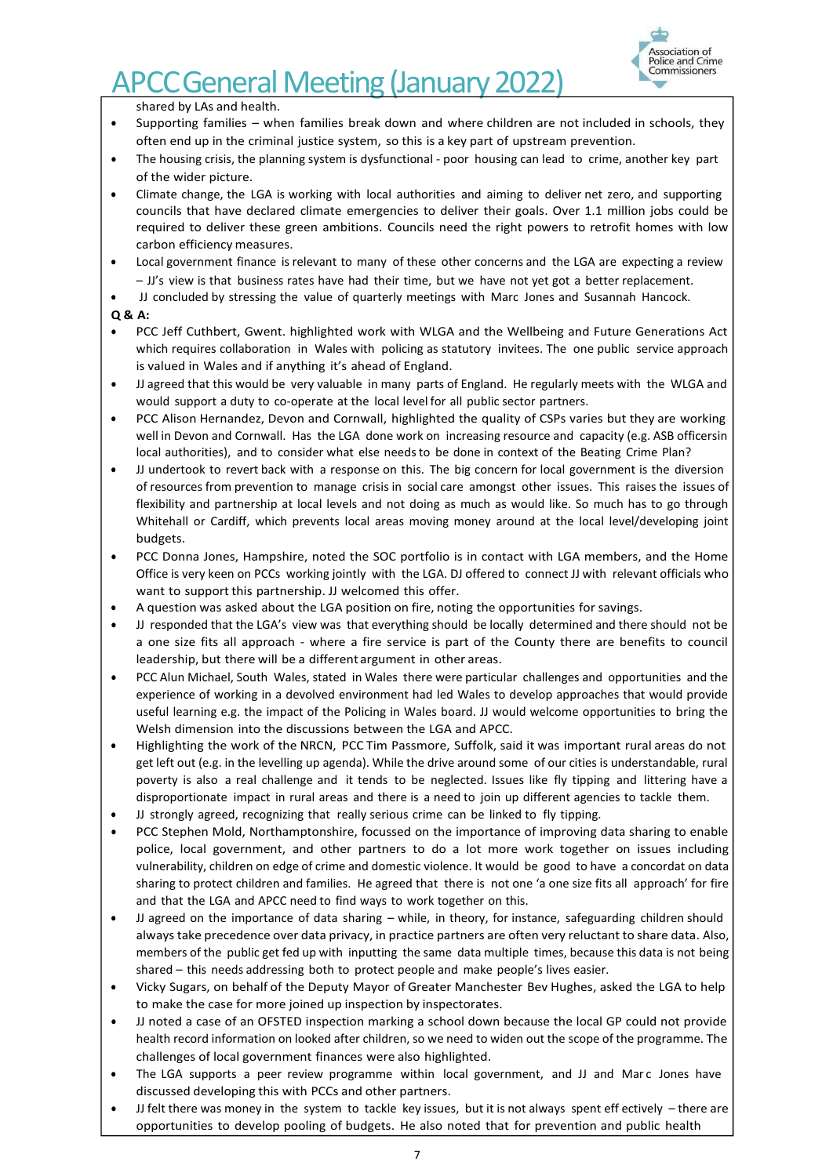

shared by LAs and health.

- Supporting families when families break down and where children are not included in schools, they often end up in the criminal justice system, so this is a key part of upstream prevention.
- The housing crisis, the planning system is dysfunctional poor housing can lead to crime, another key part of the wider picture.
- Climate change, the LGA is working with local authorities and aiming to deliver net zero, and supporting councils that have declared climate emergencies to deliver their goals. Over 1.1 million jobs could be required to deliver these green ambitions. Councils need the right powers to retrofit homes with low carbon efficiency measures.
- Local government finance is relevant to many of these other concerns and the LGA are expecting a review – JJ's view is that business rates have had their time, but we have not yet got a better replacement.
- JJ concluded by stressing the value of quarterly meetings with Marc Jones and Susannah Hancock.

- PCC Jeff Cuthbert, Gwent. highlighted work with WLGA and the Wellbeing and Future Generations Act which requires collaboration in Wales with policing as statutory invitees. The one public service approach is valued in Wales and if anything it's ahead of England.
- JJ agreed that this would be very valuable in many parts of England. He regularly meets with the WLGA and would support a duty to co-operate at the local level for all public sector partners.
- PCC Alison Hernandez, Devon and Cornwall, highlighted the quality of CSPs varies but they are working well in Devon and Cornwall. Has the LGA done work on increasing resource and capacity (e.g. ASB officersin local authorities), and to consider what else needsto be done in context of the Beating Crime Plan?
- JJ undertook to revert back with a response on this. The big concern for local government is the diversion of resources from prevention to manage crisis in social care amongst other issues. This raises the issues of flexibility and partnership at local levels and not doing as much as would like. So much has to go through Whitehall or Cardiff, which prevents local areas moving money around at the local level/developing joint budgets.
- PCC Donna Jones, Hampshire, noted the SOC portfolio is in contact with LGA members, and the Home Office is very keen on PCCs working jointly with the LGA. DJ offered to connect JJ with relevant officials who want to support this partnership. JJ welcomed this offer.
- A question was asked about the LGA position on fire, noting the opportunities for savings.
- JJ responded that the LGA's view was that everything should be locally determined and there should not be a one size fits all approach - where a fire service is part of the County there are benefits to council leadership, but there will be a different argument in other areas.
- PCC Alun Michael, South Wales, stated in Wales there were particular challenges and opportunities and the experience of working in a devolved environment had led Wales to develop approaches that would provide useful learning e.g. the impact of the Policing in Wales board. JJ would welcome opportunities to bring the Welsh dimension into the discussions between the LGA and APCC.
- Highlighting the work of the NRCN, PCC Tim Passmore, Suffolk, said it was important rural areas do not get left out (e.g. in the levelling up agenda). While the drive around some of our cities is understandable, rural poverty is also a real challenge and it tends to be neglected. Issues like fly tipping and littering have a disproportionate impact in rural areas and there is a need to join up different agencies to tackle them.
- JJ strongly agreed, recognizing that really serious crime can be linked to fly tipping.
- PCC Stephen Mold, Northamptonshire, focussed on the importance of improving data sharing to enable police, local government, and other partners to do a lot more work together on issues including vulnerability, children on edge of crime and domestic violence. It would be good to have a concordat on data sharing to protect children and families. He agreed that there is not one 'a one size fits all approach' for fire and that the LGA and APCC need to find ways to work together on this.
- JJ agreed on the importance of data sharing while, in theory, for instance, safeguarding children should always take precedence over data privacy, in practice partners are often very reluctant to share data. Also, members of the public get fed up with inputting the same data multiple times, because this data is not being shared – this needs addressing both to protect people and make people's lives easier.
- Vicky Sugars, on behalf of the Deputy Mayor of Greater Manchester Bev Hughes, asked the LGA to help to make the case for more joined up inspection by inspectorates.
- JJ noted a case of an OFSTED inspection marking a school down because the local GP could not provide health record information on looked after children, so we need to widen out the scope of the programme. The challenges of local government finances were also highlighted.
- The LGA supports a peer review programme within local government, and JJ and Marc Jones have discussed developing this with PCCs and other partners.
- JJ felt there was money in the system to tackle key issues, but it is not always spent eff ectively there are opportunities to develop pooling of budgets. He also noted that for prevention and public health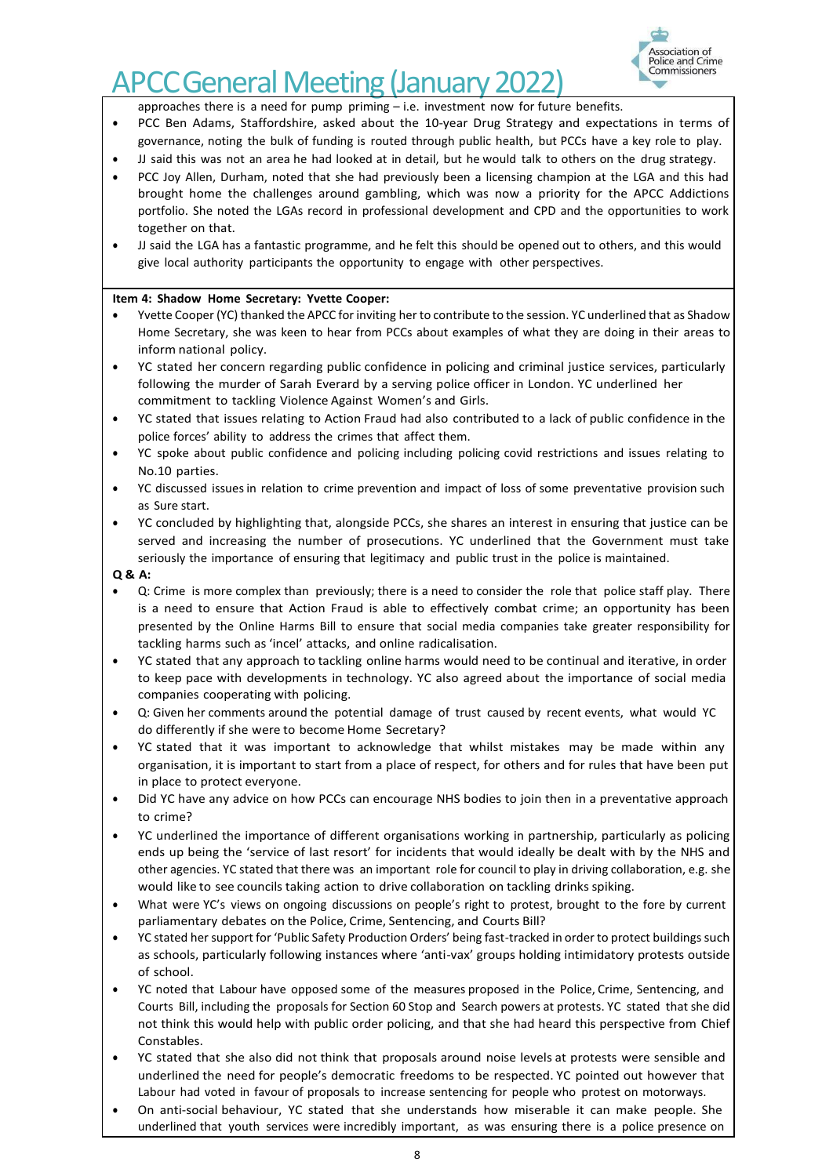

approaches there is a need for pump priming – i.e. investment now for future benefits.

- PCC Ben Adams, Staffordshire, asked about the 10-year Drug Strategy and expectations in terms of governance, noting the bulk of funding is routed through public health, but PCCs have a key role to play.
- JJ said this was not an area he had looked at in detail, but he would talk to others on the drug strategy.
- PCC Joy Allen, Durham, noted that she had previously been a licensing champion at the LGA and this had brought home the challenges around gambling, which was now a priority for the APCC Addictions portfolio. She noted the LGAs record in professional development and CPD and the opportunities to work together on that.
- JJ said the LGA has a fantastic programme, and he felt this should be opened out to others, and this would give local authority participants the opportunity to engage with other perspectives.

#### **Item 4: Shadow Home Secretary: Yvette Cooper:**

- Yvette Cooper (YC) thanked the APCC for inviting her to contribute to the session. YC underlined that as Shadow Home Secretary, she was keen to hear from PCCs about examples of what they are doing in their areas to inform national policy.
- YC stated her concern regarding public confidence in policing and criminal justice services, particularly following the murder of Sarah Everard by a serving police officer in London. YC underlined her commitment to tackling Violence Against Women's and Girls.
- YC stated that issues relating to Action Fraud had also contributed to a lack of public confidence in the police forces' ability to address the crimes that affect them.
- YC spoke about public confidence and policing including policing covid restrictions and issues relating to No.10 parties.
- YC discussed issuesin relation to crime prevention and impact of loss of some preventative provision such as Sure start.
- YC concluded by highlighting that, alongside PCCs, she shares an interest in ensuring that justice can be served and increasing the number of prosecutions. YC underlined that the Government must take seriously the importance of ensuring that legitimacy and public trust in the police is maintained.

- Q: Crime is more complex than previously; there is a need to consider the role that police staff play. There is a need to ensure that Action Fraud is able to effectively combat crime; an opportunity has been presented by the Online Harms Bill to ensure that social media companies take greater responsibility for tackling harms such as 'incel' attacks, and online radicalisation.
- YC stated that any approach to tackling online harms would need to be continual and iterative, in order to keep pace with developments in technology. YC also agreed about the importance of social media companies cooperating with policing.
- Q: Given her comments around the potential damage of trust caused by recent events, what would YC do differently if she were to become Home Secretary?
- YC stated that it was important to acknowledge that whilst mistakes may be made within any organisation, it is important to start from a place of respect, for others and for rules that have been put in place to protect everyone.
- Did YC have any advice on how PCCs can encourage NHS bodies to join then in a preventative approach to crime?
- YC underlined the importance of different organisations working in partnership, particularly as policing ends up being the 'service of last resort' for incidents that would ideally be dealt with by the NHS and other agencies. YC stated that there was an important role for council to play in driving collaboration, e.g. she would like to see councils taking action to drive collaboration on tackling drinks spiking.
- What were YC's views on ongoing discussions on people's right to protest, brought to the fore by current parliamentary debates on the Police, Crime, Sentencing, and Courts Bill?
- YC stated her support for 'Public Safety Production Orders' being fast-tracked in order to protect buildingssuch as schools, particularly following instances where 'anti-vax' groups holding intimidatory protests outside of school.
- YC noted that Labour have opposed some of the measures proposed in the Police, Crime, Sentencing, and Courts Bill, including the proposals for Section 60 Stop and Search powers at protests. YC stated that she did not think this would help with public order policing, and that she had heard this perspective from Chief Constables.
- YC stated that she also did not think that proposals around noise levels at protests were sensible and underlined the need for people's democratic freedoms to be respected. YC pointed out however that Labour had voted in favour of proposals to increase sentencing for people who protest on motorways.
- On anti-social behaviour, YC stated that she understands how miserable it can make people. She underlined that youth services were incredibly important, as was ensuring there is a police presence on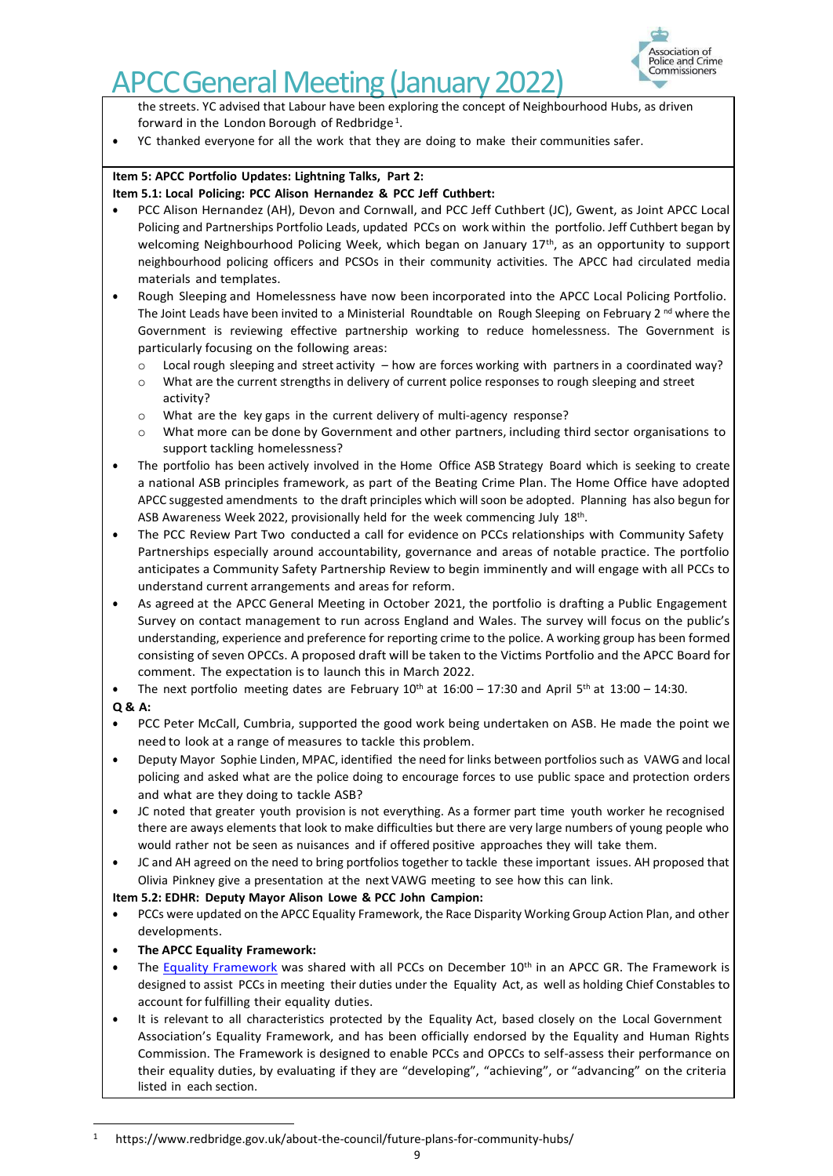

the streets. YC advised that Labour have been exploring the concept of Neighbourhood Hubs, as driven forward in the London Borough of Redbridge<sup>1</sup>.

• YC thanked everyone for all the work that they are doing to make their communities safer.

# **Item 5: APCC Portfolio Updates: Lightning Talks, Part 2:**

## **Item 5.1: Local Policing: PCC Alison Hernandez & PCC Jeff Cuthbert:**

- PCC Alison Hernandez (AH), Devon and Cornwall, and PCC Jeff Cuthbert (JC), Gwent, as Joint APCC Local Policing and Partnerships Portfolio Leads, updated PCCs on work within the portfolio. Jeff Cuthbert began by welcoming Neighbourhood Policing Week, which began on January 17<sup>th</sup>, as an opportunity to support neighbourhood policing officers and PCSOs in their community activities. The APCC had circulated media materials and templates.
- Rough Sleeping and Homelessness have now been incorporated into the APCC Local Policing Portfolio. The Joint Leads have been invited to a Ministerial Roundtable on Rough Sleeping on February 2 <sup>nd</sup> where the Government is reviewing effective partnership working to reduce homelessness. The Government is particularly focusing on the following areas:
	- $\circ$  Local rough sleeping and street activity how are forces working with partners in a coordinated way?
	- What are the current strengths in delivery of current police responses to rough sleeping and street activity?
	- o What are the key gaps in the current delivery of multi-agency response?
	- o What more can be done by Government and other partners, including third sector organisations to support tackling homelessness?
- The portfolio has been actively involved in the Home Office ASB Strategy Board which is seeking to create a national ASB principles framework, as part of the Beating Crime Plan. The Home Office have adopted APCC suggested amendments to the draft principles which will soon be adopted. Planning has also begun for ASB Awareness Week 2022, provisionally held for the week commencing July 18<sup>th</sup>.
- The PCC Review Part Two conducted a call for evidence on PCCs relationships with Community Safety Partnerships especially around accountability, governance and areas of notable practice. The portfolio anticipates a Community Safety Partnership Review to begin imminently and will engage with all PCCs to understand current arrangements and areas for reform.
- As agreed at the APCC General Meeting in October 2021, the portfolio is drafting a Public Engagement Survey on contact management to run across England and Wales. The survey will focus on the public's understanding, experience and preference for reporting crime to the police. A working group has been formed consisting of seven OPCCs. A proposed draft will be taken to the Victims Portfolio and the APCC Board for comment. The expectation is to launch this in March 2022.

• The next portfolio meeting dates are February  $10^{th}$  at  $16:00 - 17:30$  and April  $5^{th}$  at  $13:00 - 14:30$ .

- **Q & A:**
- PCC Peter McCall, Cumbria, supported the good work being undertaken on ASB. He made the point we need to look at a range of measures to tackle this problem.
- Deputy Mayor Sophie Linden, MPAC, identified the need for links between portfolios such as VAWG and local policing and asked what are the police doing to encourage forces to use public space and protection orders and what are they doing to tackle ASB?
- JC noted that greater youth provision is not everything. As a former part time youth worker he recognised there are aways elements that look to make difficulties but there are very large numbers of young people who would rather not be seen as nuisances and if offered positive approaches they will take them.
- JC and AH agreed on the need to bring portfolios together to tackle these important issues. AH proposed that Olivia Pinkney give a presentation at the next VAWG meeting to see how this can link.

## **Item 5.2: EDHR: Deputy Mayor Alison Lowe & PCC John Campion:**

• PCCs were updated on the APCC Equality Framework, the Race Disparity Working Group Action Plan, and other developments.

# • **The APCC Equality Framework:**

- The [Equality Framework](https://www.apccs.police.uk/media/6988/apcc-equality-framework-for-pccs-2021-22.pdf) was shared with all PCCs on December 10<sup>th</sup> in an APCC GR. The Framework is designed to assist PCCs in meeting their duties under the Equality Act, as well as holding Chief Constables to account for fulfilling their equality duties.
- It is relevant to all characteristics protected by the Equality Act, based closely on the Local Government Association's Equality Framework, and has been officially endorsed by the Equality and Human Rights Commission. The Framework is designed to enable PCCs and OPCCs to self-assess their performance on their equality duties, by evaluating if they are "developing", "achieving", or "advancing" on the criteria listed in each section.

<sup>1</sup> http[s://www.redbridge.gov.uk/about-the-council/future-plans-for-community-hubs/](http://www.redbridge.gov.uk/about-the-council/future-plans-for-community-hubs/)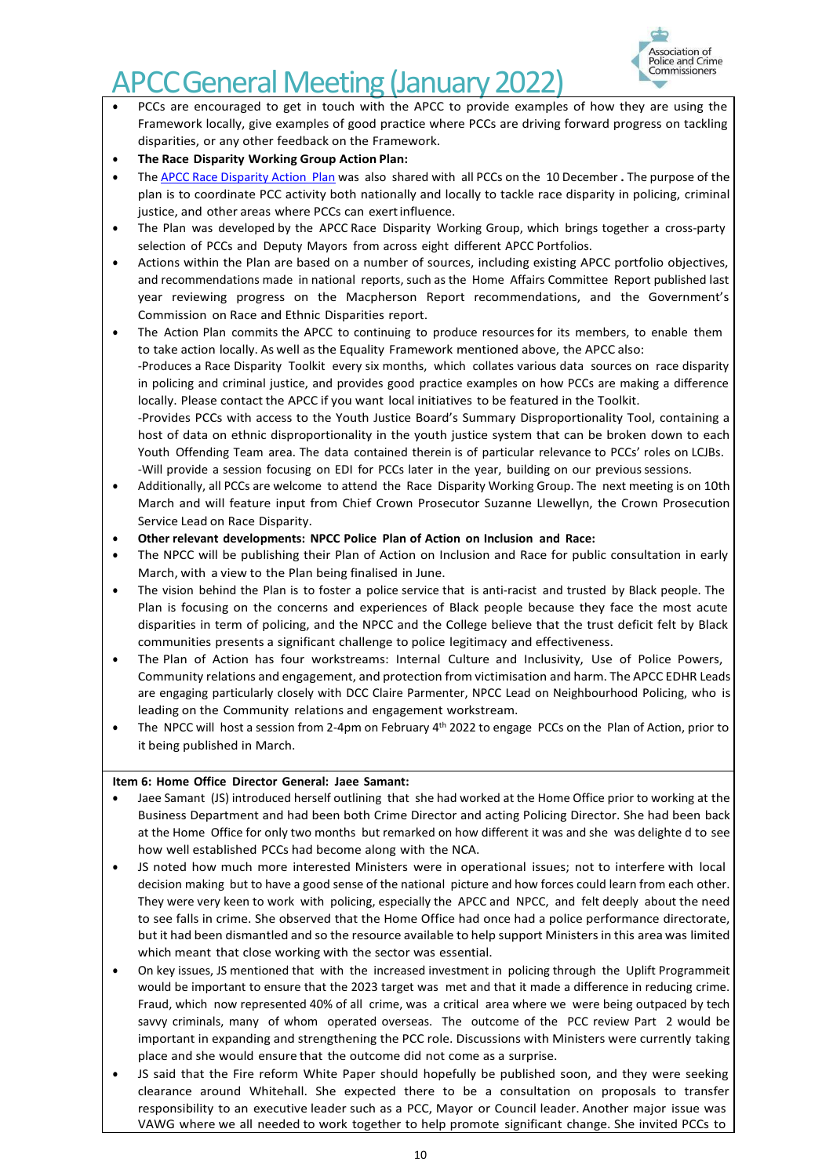

- PCCs are encouraged to get in touch with the APCC to provide examples of how they are using the Framework locally, give examples of good practice where PCCs are driving forward progress on tackling disparities, or any other feedback on the Framework.
- **The Race Disparity Working Group Action Plan:**
- The APCC [Race Disparity](https://www.apccs.police.uk/media/6991/apcc-race-disparity-working-group-action-plan-2022.pdf) Action Plan was also shared with all PCCs on the 10 December **.** The purpose of the plan is to coordinate PCC activity both nationally and locally to tackle race disparity in policing, criminal justice, and other areas where PCCs can exert influence.
- The Plan was developed by the APCC Race Disparity Working Group, which brings together a cross-party selection of PCCs and Deputy Mayors from across eight different APCC Portfolios.
- Actions within the Plan are based on a number of sources, including existing APCC portfolio objectives, and recommendations made in national reports, such as the Home Affairs Committee Report published last year reviewing progress on the Macpherson Report recommendations, and the Government's Commission on Race and Ethnic Disparities report.
- The Action Plan commits the APCC to continuing to produce resources for its members, to enable them to take action locally. As well as the Equality Framework mentioned above, the APCC also: -Produces a Race Disparity Toolkit every six months, which collates various data sources on race disparity in policing and criminal justice, and provides good practice examples on how PCCs are making a difference locally. Please contact the APCC if you want local initiatives to be featured in the Toolkit. -Provides PCCs with access to the Youth Justice Board's Summary Disproportionality Tool, containing a host of data on ethnic disproportionality in the youth justice system that can be broken down to each Youth Offending Team area. The data contained therein is of particular relevance to PCCs' roles on LCJBs. -Will provide a session focusing on EDI for PCCs later in the year, building on our previoussessions.
- Additionally, all PCCs are welcome to attend the Race Disparity Working Group. The next meeting is on 10th March and will feature input from Chief Crown Prosecutor Suzanne Llewellyn, the Crown Prosecution Service Lead on Race Disparity.
- **Other relevant developments: NPCC Police Plan of Action on Inclusion and Race:**
- The NPCC will be publishing their Plan of Action on Inclusion and Race for public consultation in early March, with a view to the Plan being finalised in June.
- The vision behind the Plan is to foster a police service that is anti-racist and trusted by Black people. The Plan is focusing on the concerns and experiences of Black people because they face the most acute disparities in term of policing, and the NPCC and the College believe that the trust deficit felt by Black communities presents a significant challenge to police legitimacy and effectiveness.
- The Plan of Action has four workstreams: Internal Culture and Inclusivity, Use of Police Powers, Community relations and engagement, and protection from victimisation and harm. The APCC EDHR Leads are engaging particularly closely with DCC Claire Parmenter, NPCC Lead on Neighbourhood Policing, who is leading on the Community relations and engagement workstream.
- The NPCC will host a session from 2-4pm on February 4<sup>th</sup> 2022 to engage PCCs on the Plan of Action, prior to it being published in March.

# **Item 6: Home Office Director General: Jaee Samant:**

- Jaee Samant (JS) introduced herself outlining that she had worked at the Home Office prior to working at the Business Department and had been both Crime Director and acting Policing Director. She had been back at the Home Office for only two months but remarked on how different it was and she was delighte d to see how well established PCCs had become along with the NCA.
- JS noted how much more interested Ministers were in operational issues; not to interfere with local decision making but to have a good sense of the national picture and how forces could learn from each other. They were very keen to work with policing, especially the APCC and NPCC, and felt deeply about the need to see falls in crime. She observed that the Home Office had once had a police performance directorate, but it had been dismantled and so the resource available to help support Ministers in this area was limited which meant that close working with the sector was essential.
- On key issues, JS mentioned that with the increased investment in policing through the Uplift Programmeit would be important to ensure that the 2023 target was met and that it made a difference in reducing crime. Fraud, which now represented 40% of all crime, was a critical area where we were being outpaced by tech savvy criminals, many of whom operated overseas. The outcome of the PCC review Part 2 would be important in expanding and strengthening the PCC role. Discussions with Ministers were currently taking place and she would ensure that the outcome did not come as a surprise.
- JS said that the Fire reform White Paper should hopefully be published soon, and they were seeking clearance around Whitehall. She expected there to be a consultation on proposals to transfer responsibility to an executive leader such as a PCC, Mayor or Council leader. Another major issue was VAWG where we all needed to work together to help promote significant change. She invited PCCs to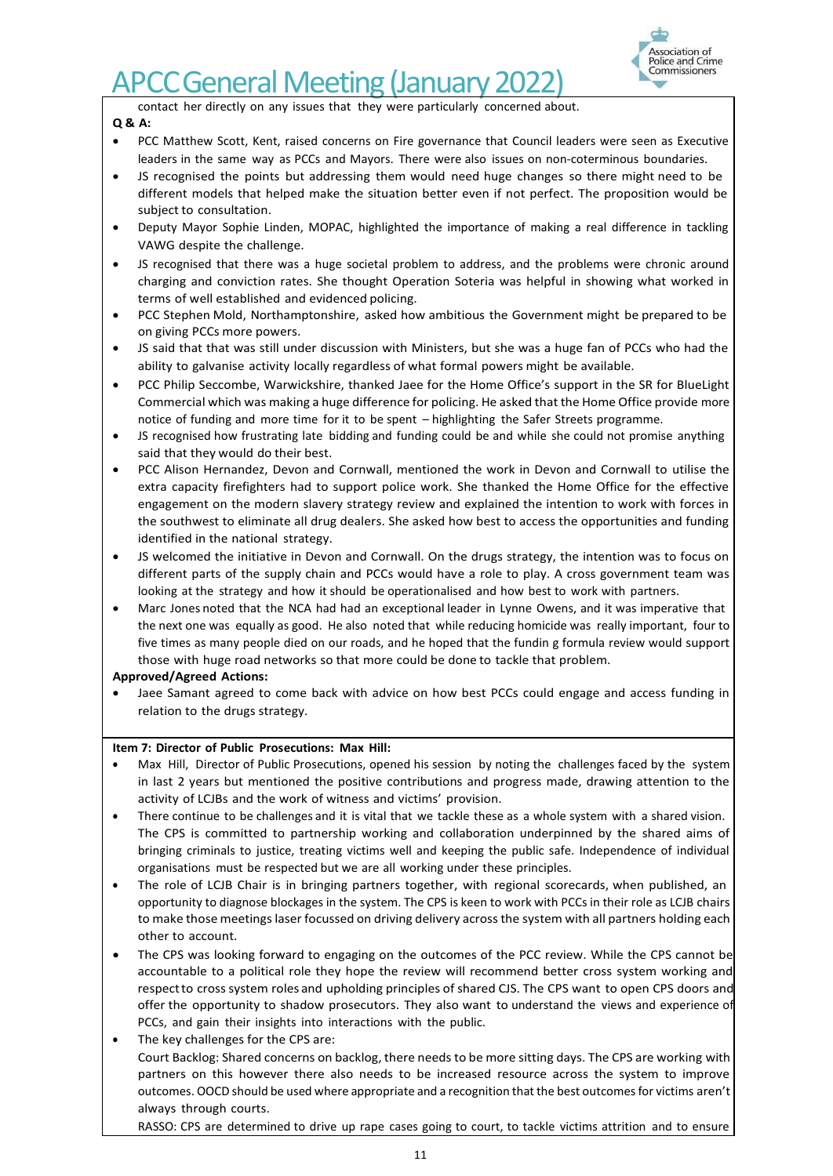

contact her directly on any issues that they were particularly concerned about.

# **Q & A:**

- PCC Matthew Scott, Kent, raised concerns on Fire governance that Council leaders were seen as Executive leaders in the same way as PCCs and Mayors. There were also issues on non-coterminous boundaries.
- JS recognised the points but addressing them would need huge changes so there might need to be different models that helped make the situation better even if not perfect. The proposition would be subject to consultation.
- Deputy Mayor Sophie Linden, MOPAC, highlighted the importance of making a real difference in tackling VAWG despite the challenge.
- JS recognised that there was a huge societal problem to address, and the problems were chronic around charging and conviction rates. She thought Operation Soteria was helpful in showing what worked in terms of well established and evidenced policing.
- PCC Stephen Mold, Northamptonshire, asked how ambitious the Government might be prepared to be on giving PCCs more powers.
- JS said that that was still under discussion with Ministers, but she was a huge fan of PCCs who had the ability to galvanise activity locally regardless of what formal powers might be available.
- PCC Philip Seccombe, Warwickshire, thanked Jaee for the Home Office's support in the SR for BlueLight Commercial which was making a huge difference for policing. He asked that the Home Office provide more notice of funding and more time for it to be spent – highlighting the Safer Streets programme.
- JS recognised how frustrating late bidding and funding could be and while she could not promise anything said that they would do their best.
- PCC Alison Hernandez, Devon and Cornwall, mentioned the work in Devon and Cornwall to utilise the extra capacity firefighters had to support police work. She thanked the Home Office for the effective engagement on the modern slavery strategy review and explained the intention to work with forces in the southwest to eliminate all drug dealers. She asked how best to access the opportunities and funding identified in the national strategy.
- JS welcomed the initiative in Devon and Cornwall. On the drugs strategy, the intention was to focus on different parts of the supply chain and PCCs would have a role to play. A cross government team was looking at the strategy and how it should be operationalised and how best to work with partners.
- Marc Jones noted that the NCA had had an exceptional leader in Lynne Owens, and it was imperative that the next one was equally as good. He also noted that while reducing homicide was really important, four to five times as many people died on our roads, and he hoped that the fundin g formula review would support those with huge road networks so that more could be done to tackle that problem.

## **Approved/Agreed Actions:**

• Jaee Samant agreed to come back with advice on how best PCCs could engage and access funding in relation to the drugs strategy.

## **Item 7: Director of Public Prosecutions: Max Hill:**

- Max Hill, Director of Public Prosecutions, opened his session by noting the challenges faced by the system in last 2 years but mentioned the positive contributions and progress made, drawing attention to the activity of LCJBs and the work of witness and victims' provision.
- There continue to be challenges and it is vital that we tackle these as a whole system with a shared vision. The CPS is committed to partnership working and collaboration underpinned by the shared aims of bringing criminals to justice, treating victims well and keeping the public safe. Independence of individual organisations must be respected but we are all working under these principles.
- The role of LCJB Chair is in bringing partners together, with regional scorecards, when published, an opportunity to diagnose blockages in the system. The CPS is keen to work with PCCs in their role as LCJB chairs to make those meetings laser focussed on driving delivery across the system with all partners holding each other to account.
- The CPS was looking forward to engaging on the outcomes of the PCC review. While the CPS cannot be accountable to a political role they hope the review will recommend better cross system working and respectto crosssystem roles and upholding principles of shared CJS. The CPS want to open CPS doors and offer the opportunity to shadow prosecutors. They also want to understand the views and experience of PCCs, and gain their insights into interactions with the public.
- The key challenges for the CPS are: Court Backlog: Shared concerns on backlog, there needs to be more sitting days. The CPS are working with partners on this however there also needs to be increased resource across the system to improve outcomes. OOCD should be used where appropriate and a recognition that the best outcomes for victims aren't always through courts.

RASSO: CPS are determined to drive up rape cases going to court, to tackle victims attrition and to ensure